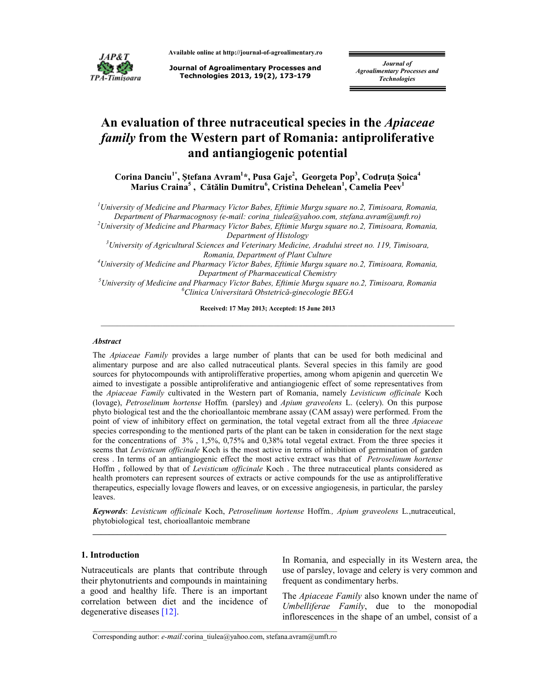

**Available online at http://journal-of-agroalimentary.ro** 

**Journal of Agroalimentary Processes and Technologies 2013, 19(2), 173-179**

*Journal of Agroalimentary Processes and Technologies* 

# **An evaluation of three nutraceutical species in the** *Apiaceae family* **from the Western part of Romania: antiproliferative and antiangiogenic potential**

**Corina Danciu1\*, Ştefana Avram<sup>1</sup> \*, Pusa Gaje<sup>2</sup> , Georgeta Pop<sup>3</sup> , Codruţa Şoica<sup>4</sup> Marius Craina<sup>5</sup> , Cătălin Dumitru<sup>6</sup> , Cristina Dehelean<sup>1</sup> , Camelia Peev<sup>1</sup>**

*<sup>1</sup>University of Medicine and Pharmacy Victor Babes, Eftimie Murgu square no.2, Timisoara, Romania, Department of Pharmacognosy (e-mail: corina\_tiulea@yahoo.com, stefana.avram@umft.ro)* 

*<sup>2</sup>University of Medicine and Pharmacy Victor Babes, Eftimie Murgu square no.2, Timisoara, Romania, Department of Histology* 

*<sup>3</sup>University of Agricultural Sciences and Veterinary Medicine, Aradului street no. 119, Timisoara, Romania, Department of Plant Culture* 

*<sup>4</sup>University of Medicine and Pharmacy Victor Babes, Eftimie Murgu square no.2, Timisoara, Romania, Department of Pharmaceutical Chemistry* 

*<sup>5</sup>University of Medicine and Pharmacy Victor Babes, Eftimie Murgu square no.2, Timisoara, Romania <sup>6</sup>Clinica Universitară Obstetrică-ginecologie BEGA* 

**Received: 17 May 2013; Accepted: 15 June 2013** 

\_\_\_\_\_\_\_\_\_\_\_\_\_\_\_\_\_\_\_\_\_\_\_\_\_\_\_\_\_\_\_\_\_\_\_\_\_\_\_\_\_\_\_\_\_\_\_\_\_\_\_\_\_\_\_\_\_\_\_\_\_\_\_\_\_\_\_\_\_\_\_\_\_\_\_\_\_\_\_\_\_\_\_\_\_\_

#### *Abstract*

The *Apiaceae Family* provides a large number of plants that can be used for both medicinal and alimentary purpose and are also called nutraceutical plants. Several species in this family are good sources for phytocompounds with antiprolifferative properties, among whom apigenin and quercetin We aimed to investigate a possible antiproliferative and antiangiogenic effect of some representatives from the *Apiaceae Family* cultivated in the Western part of Romania, namely *Levisticum officinale* Koch (lovage), *Petroselinum hortense* Hoffm*.* (parsley) and *Apium graveolens* L. (celery). On this purpose phyto biological test and the the chorioallantoic membrane assay (CAM assay) were performed. From the point of view of inhibitory effect on germination, the total vegetal extract from all the three *Apiaceae*  species corresponding to the mentioned parts of the plant can be taken in consideration for the next stage for the concentrations of 3% , 1,5%, 0,75% and 0,38% total vegetal extract. From the three species it seems that *Levisticum officinale* Koch is the most active in terms of inhibition of germination of garden cress . In terms of an antiangiogenic effect the most active extract was that of *Petroselinum hortense*  Hoffm , followed by that of *Levisticum officinale* Koch . The three nutraceutical plants considered as health promoters can represent sources of extracts or active compounds for the use as antiprolifferative therapeutics, especially lovage flowers and leaves, or on excessive angiogenesis, in particular, the parsley leaves.

*Keywords*: *Levisticum officinale* Koch, *Petroselinum hortense* Hoffm*., Apium graveolens* L.,nutraceutical, phytobiological test, chorioallantoic membrane

**\_\_\_\_\_\_\_\_\_\_\_\_\_\_\_\_\_\_\_\_\_\_\_\_\_\_\_\_\_\_\_\_\_\_\_\_\_\_\_\_\_\_\_\_\_\_\_\_\_\_\_\_\_\_\_\_\_\_\_\_\_\_\_\_\_\_\_\_\_\_\_\_\_\_\_\_\_\_\_\_\_\_\_\_\_\_** 

# **1. Introduction**

Nutraceuticals are plants that contribute through their phytonutrients and compounds in maintaining a good and healthy life. There is an important correlation between diet and the incidence of degenerative diseases [12].

In Romania, and especially in its Western area, the use of parsley, lovage and celery is very common and frequent as condimentary herbs.

The *Apiaceae Family* also known under the name of *Umbelliferae Family*, due to the monopodial inflorescences in the shape of an umbel, consist of a

\_\_\_\_\_\_\_\_\_\_\_\_\_\_\_\_\_\_\_\_\_\_\_\_\_\_\_\_\_\_\_\_\_\_\_\_\_\_\_\_\_\_\_\_\_\_\_\_\_\_\_\_\_\_\_\_\_\_\_\_\_\_\_\_\_\_ Corresponding author: *e-mail:*corina\_tiulea@yahoo.com, stefana.avram@umft.ro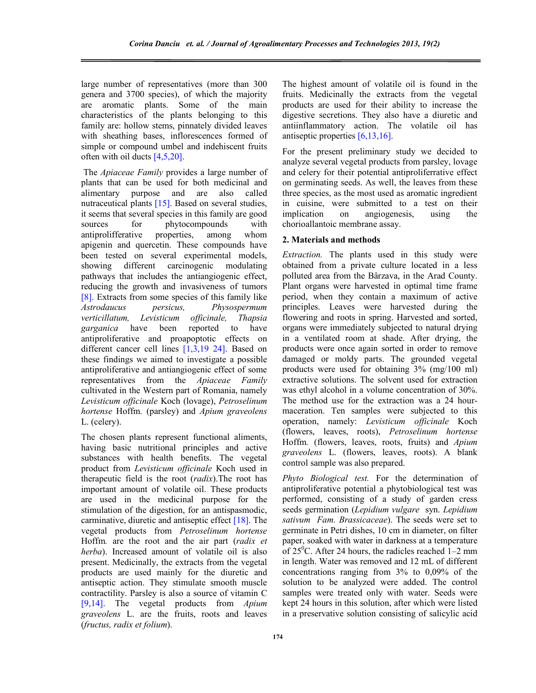large number of representatives (more than 300 genera and 3700 species), of which the majority are aromatic plants. Some of the main characteristics of the plants belonging to this family are: hollow stems, pinnately divided leaves with sheathing bases, inflorescences formed of simple or compound umbel and indehiscent fruits often with oil ducts [4,5,20].

 The *Apiaceae Family* provides a large number of plants that can be used for both medicinal and alimentary purpose and are also called nutraceutical plants [15]. Based on several studies, it seems that several species in this family are good sources for phytocompounds with antiprolifferative properties, among whom apigenin and quercetin. These compounds have been tested on several experimental models, showing different carcinogenic modulating pathways that includes the antiangiogenic effect, reducing the growth and invasiveness of tumors [8]. Extracts from some species of this family like *Astrodaucus persicus, Physospermum verticillatum, Levisticum officinale, Thapsia garganica* have been reported to have antiproliferative and proapoptotic effects on different cancer cell lines [1,3,19 24]. Based on these findings we aimed to investigate a possible antiproliferative and antiangiogenic effect of some representatives from the *Apiaceae Family* cultivated in the Western part of Romania, namely *Levisticum officinale* Koch (lovage), *Petroselinum hortense* Hoffm*.* (parsley) and *Apium graveolens* L. (celery).

The chosen plants represent functional aliments, having basic nutritional principles and active substances with health benefits. The vegetal product from *Levisticum officinale* Koch used in therapeutic field is the root (*radix*).The root has important amount of volatile oil. These products are used in the medicinal purpose for the stimulation of the digestion, for an antispasmodic, carminative, diuretic and antiseptic effect [18]. The vegetal products from *Petroselinum hortense* Hoffm*.* are the root and the air part (*radix et herba*). Increased amount of volatile oil is also present. Medicinally, the extracts from the vegetal products are used mainly for the diuretic and antiseptic action. They stimulate smooth muscle contractility. Parsley is also a source of vitamin C [9,14]. The vegetal products from *Apium graveolens* L. are the fruits, roots and leaves (*fructus, radix et folium*).

The highest amount of volatile oil is found in the fruits. Medicinally the extracts from the vegetal products are used for their ability to increase the digestive secretions. They also have a diuretic and antiinflammatory action. The volatile oil has antiseptic properties [6,13,16].

For the present preliminary study we decided to analyze several vegetal products from parsley, lovage and celery for their potential antiproliferrative effect on germinating seeds. As well, the leaves from these three species, as the most used as aromatic ingredient in cuisine, were submitted to a test on their implication on angiogenesis, using the chorioallantoic membrane assay.

# **2. Materials and methods**

*Extraction.* The plants used in this study were obtained from a private culture located in a less polluted area from the Bârzava, in the Arad County. Plant organs were harvested in optimal time frame period, when they contain a maximum of active principles. Leaves were harvested during the flowering and roots in spring. Harvested and sorted, organs were immediately subjected to natural drying in a ventilated room at shade. After drying, the products were once again sorted in order to remove damaged or moldy parts. The grounded vegetal products were used for obtaining 3% (mg/100 ml) extractive solutions. The solvent used for extraction was ethyl alcohol in a volume concentration of 30%. The method use for the extraction was a 24 hourmaceration. Ten samples were subjected to this operation, namely: *Levisticum officinale* Koch (flowers, leaves, roots), *Petroselinum hortense* Hoffm*.* (flowers, leaves, roots, fruits) and *Apium graveolens* L. (flowers, leaves, roots). A blank control sample was also prepared.

*Phyto Biological test.* For the determination of antiproliferative potential a phytobiological test was performed, consisting of a study of garden cress seeds germination (*Lepidium vulgare* syn. *Lepidium sativum Fam. Brassicaceae*). The seeds were set to germinate in Petri dishes, 10 cm in diameter, on filter paper, soaked with water in darkness at a temperature of  $25^{\circ}$ C. After 24 hours, the radicles reached 1–2 mm in length. Water was removed and 12 mL of different concentrations ranging from 3% to 0,09% of the solution to be analyzed were added. The control samples were treated only with water. Seeds were kept 24 hours in this solution, after which were listed in a preservative solution consisting of salicylic acid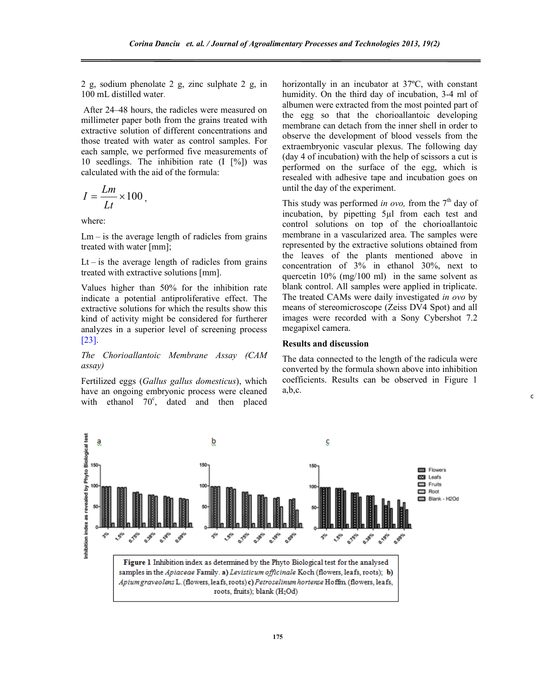2 g, sodium phenolate 2 g, zinc sulphate 2 g, in 100 mL distilled water.

 After 24–48 hours, the radicles were measured on millimeter paper both from the grains treated with extractive solution of different concentrations and those treated with water as control samples. For each sample, we performed five measurements of 10 seedlings. The inhibition rate (I [%]) was calculated with the aid of the formula:

$$
I=\frac{Lm}{Lt}\times 100\,,
$$

where:

 $Lm - is$  the average length of radicles from grains treated with water [mm];

 $Lt$  – is the average length of radicles from grains treated with extractive solutions [mm].

Values higher than 50% for the inhibition rate indicate a potential antiproliferative effect. The extractive solutions for which the results show this kind of activity might be considered for furtherer analyzes in a superior level of screening process [23].

*The Chorioallantoic Membrane Assay (CAM assay)*

Fertilized eggs (*Gallus gallus domesticus*), which have an ongoing embryonic process were cleaned with ethanol 70°, dated and then placed horizontally in an incubator at 37ºC, with constant humidity. On the third day of incubation, 3-4 ml of albumen were extracted from the most pointed part of the egg so that the chorioallantoic developing membrane can detach from the inner shell in order to observe the development of blood vessels from the extraembryonic vascular plexus. The following day (day 4 of incubation) with the help of scissors a cut is performed on the surface of the egg, which is resealed with adhesive tape and incubation goes on until the day of the experiment.

This study was performed *in ovo*, from the  $7<sup>th</sup>$  day of incubation, by pipetting 5µl from each test and control solutions on top of the chorioallantoic membrane in a vascularized area. The samples were represented by the extractive solutions obtained from the leaves of the plants mentioned above in concentration of 3% in ethanol 30%, next to quercetin 10% (mg/100 ml) in the same solvent as blank control. All samples were applied in triplicate. The treated CAMs were daily investigated *in ovo* by means of stereomicroscope (Zeiss DV4 Spot) and all images were recorded with a Sony Cybershot 7.2 megapixel camera.

#### **Results and discussion**

The data connected to the length of the radicula were converted by the formula shown above into inhibition coefficients. Results can be observed in Figure 1 a,b,c.

c

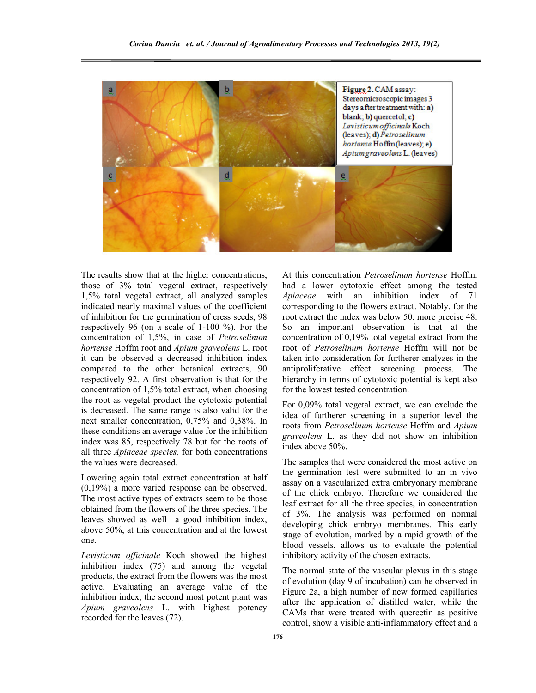

The results show that at the higher concentrations, those of 3% total vegetal extract, respectively 1,5% total vegetal extract, all analyzed samples indicated nearly maximal values of the coefficient of inhibition for the germination of cress seeds, 98 respectively 96 (on a scale of 1-100 %). For the concentration of 1,5%, in case of *Petroselinum hortense* Hoffm root and *Apium graveolens* L. root it can be observed a decreased inhibition index compared to the other botanical extracts, 90 respectively 92. A first observation is that for the concentration of 1,5% total extract, when choosing the root as vegetal product the cytotoxic potential is decreased. The same range is also valid for the next smaller concentration, 0,75% and 0,38%. In these conditions an average value for the inhibition index was 85, respectively 78 but for the roots of all three *Apiaceae species,* for both concentrations the values were decreased*.* 

Lowering again total extract concentration at half (0,19%) a more varied response can be observed. The most active types of extracts seem to be those obtained from the flowers of the three species. The leaves showed as well a good inhibition index, above 50%, at this concentration and at the lowest one.

*Levisticum officinale* Koch showed the highest inhibition index (75) and among the vegetal products, the extract from the flowers was the most active. Evaluating an average value of the inhibition index, the second most potent plant was *Apium graveolens* L. with highest potency recorded for the leaves (72).

At this concentration *Petroselinum hortense* Hoffm. had a lower cytotoxic effect among the tested *Apiaceae* with an inhibition index of 71 corresponding to the flowers extract. Notably, for the root extract the index was below 50, more precise 48. So an important observation is that at the concentration of 0,19% total vegetal extract from the root of *Petroselinum hortense* Hoffm will not be taken into consideration for furtherer analyzes in the antiproliferative effect screening process. The hierarchy in terms of cytotoxic potential is kept also for the lowest tested concentration.

For 0,09% total vegetal extract, we can exclude the idea of furtherer screening in a superior level the roots from *Petroselinum hortense* Hoffm and *Apium graveolens* L. as they did not show an inhibition index above 50%.

The samples that were considered the most active on the germination test were submitted to an in vivo assay on a vascularized extra embryonary membrane of the chick embryo. Therefore we considered the leaf extract for all the three species, in concentration of 3%. The analysis was performed on normal developing chick embryo membranes. This early stage of evolution, marked by a rapid growth of the blood vessels, allows us to evaluate the potential inhibitory activity of the chosen extracts.

The normal state of the vascular plexus in this stage of evolution (day 9 of incubation) can be observed in Figure 2a, a high number of new formed capillaries after the application of distilled water, while the CAMs that were treated with quercetin as positive control, show a visible anti-inflammatory effect and a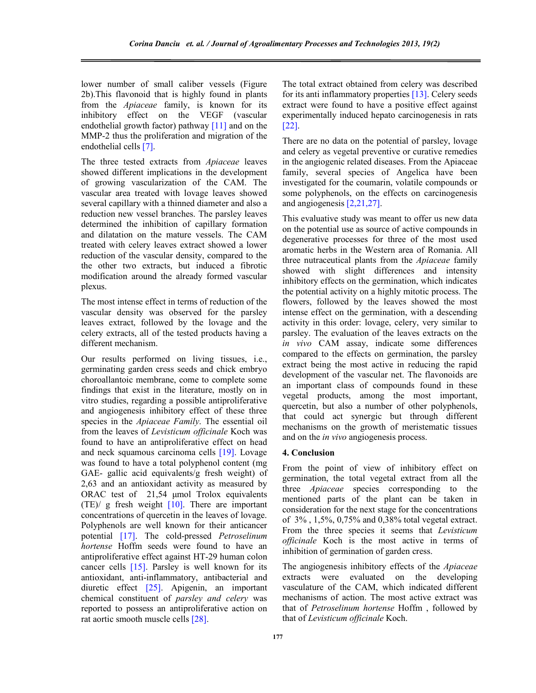lower number of small caliber vessels (Figure 2b).This flavonoid that is highly found in plants from the *Apiaceae* family, is known for its inhibitory effect on the VEGF (vascular endothelial growth factor) pathway [11] and on the MMP-2 thus the proliferation and migration of the endothelial cells [7].

The three tested extracts from *Apiaceae* leaves showed different implications in the development of growing vascularization of the CAM. The vascular area treated with lovage leaves showed several capillary with a thinned diameter and also a reduction new vessel branches. The parsley leaves determined the inhibition of capillary formation and dilatation on the mature vessels. The CAM treated with celery leaves extract showed a lower reduction of the vascular density, compared to the the other two extracts, but induced a fibrotic modification around the already formed vascular plexus.

The most intense effect in terms of reduction of the vascular density was observed for the parsley leaves extract, followed by the lovage and the celery extracts, all of the tested products having a different mechanism.

Our results performed on living tissues, i.e., germinating garden cress seeds and chick embryo choroallantoic membrane, come to complete some findings that exist in the literature, mostly on in vitro studies, regarding a possible antiproliferative and angiogenesis inhibitory effect of these three species in the *Apiaceae Family*. The essential oil from the leaves of *Levisticum officinale* Koch was found to have an antiproliferative effect on head and neck squamous carcinoma cells [19]. Lovage was found to have a total polyphenol content (mg GAE- gallic acid equivalents/g fresh weight) of 2,63 and an antioxidant activity as measured by ORAC test of 21,54 µmol Trolox equivalents (TE)/ g fresh weight [10]. There are important concentrations of quercetin in the leaves of lovage. Polyphenols are well known for their anticancer potential [17]. The cold-pressed *Petroselinum hortense* Hoffm seeds were found to have an antiproliferative effect against HT-29 human colon cancer cells [15]. Parsley is well known for its antioxidant, anti-inflammatory, antibacterial and diuretic effect [25]. Apigenin, an important chemical constituent of *parsley and celery* was reported to possess an antiproliferative action on rat aortic smooth muscle cells [28].

The total extract obtained from celery was described for its anti inflammatory properties [13]. Celery seeds extract were found to have a positive effect against experimentally induced hepato carcinogenesis in rats [22].

There are no data on the potential of parsley, lovage and celery as vegetal preventive or curative remedies in the angiogenic related diseases. From the Apiaceae family, several species of Angelica have been investigated for the coumarin, volatile compounds or some polyphenols, on the effects on carcinogenesis and angiogenesis [2,21,27].

This evaluative study was meant to offer us new data on the potential use as source of active compounds in degenerative processes for three of the most used aromatic herbs in the Western area of Romania. All three nutraceutical plants from the *Apiaceae* family showed with slight differences and intensity inhibitory effects on the germination, which indicates the potential activity on a highly mitotic process. The flowers, followed by the leaves showed the most intense effect on the germination, with a descending activity in this order: lovage, celery, very similar to parsley. The evaluation of the leaves extracts on the *in vivo* CAM assay, indicate some differences compared to the effects on germination, the parsley extract being the most active in reducing the rapid development of the vascular net. The flavonoids are an important class of compounds found in these vegetal products, among the most important, quercetin, but also a number of other polyphenols, that could act synergic but through different mechanisms on the growth of meristematic tissues and on the *in vivo* angiogenesis process.

# **4. Conclusion**

From the point of view of inhibitory effect on germination, the total vegetal extract from all the three *Apiaceae* species corresponding to the mentioned parts of the plant can be taken in consideration for the next stage for the concentrations of 3% , 1,5%, 0,75% and 0,38% total vegetal extract. From the three species it seems that *Levisticum officinale* Koch is the most active in terms of inhibition of germination of garden cress.

The angiogenesis inhibitory effects of the *Apiaceae* extracts were evaluated on the developing vasculature of the CAM, which indicated different mechanisms of action. The most active extract was that of *Petroselinum hortense* Hoffm , followed by that of *Levisticum officinale* Koch.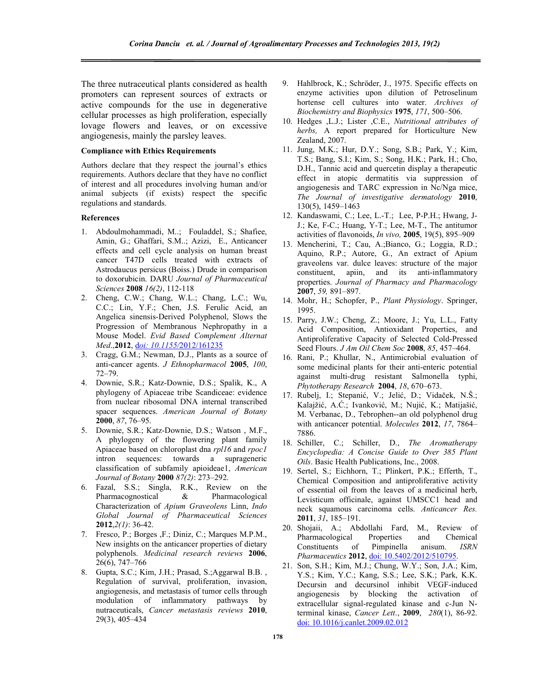The three nutraceutical plants considered as health promoters can represent sources of extracts or active compounds for the use in degenerative cellular processes as high proliferation, especially lovage flowers and leaves, or on excessive angiogenesis, mainly the parsley leaves.

#### **Compliance with Ethics Requirements**

Authors declare that they respect the journal's ethics requirements. Authors declare that they have no conflict of interest and all procedures involving human and/or animal subjects (if exists) respect the specific regulations and standards.

### **References**

- 1. Abdoulmohammadi, M..; Fouladdel, S.; Shafiee, Amin, G.; Ghaffari, S.M..; Azizi, E., Anticancer effects and cell cycle analysis on human breast cancer T47D cells treated with extracts of Astrodaucus persicus (Boiss.) Drude in comparison to doxorubicin. DARU *Journal of Pharmaceutical Sciences* **2008** *16(2)*, 112-118
- 2. Cheng, C.W.; Chang, W.L.; Chang, L.C.; Wu, C.C.; Lin, Y.F.; Chen, J.S. Ferulic Acid, an Angelica sinensis-Derived Polyphenol, Slows the Progression of Membranous Nephropathy in a Mouse Model. *Evid Based Complement Alternat Med*.,**2012**, d*oi: 10.1155/*2012/161235
- 3. Cragg, G.M.; Newman, D.J., Plants as a source of anti-cancer agents. *J Ethnopharmacol* **2005**, *100*, 72–79.
- 4. Downie, S.R.; Katz-Downie, D.S.; Spalik, K., A phylogeny of Apiaceae tribe Scandiceae: evidence from nuclear ribosomal DNA internal transcribed spacer sequences. *American Journal of Botany* **2000**, *87*, 76–95.
- 5. Downie, S.R.; Katz-Downie, D.S.; Watson , M.F., A phylogeny of the flowering plant family Apiaceae based on chloroplast dna *rpl16* and *rpoc1*  intron sequences: towards a suprageneric classification of subfamily apioideae1, *American Journal of Botany* **2000** *87(2)*: 273–292.
- 6. Fazal, S.S.; Singla, R.K., Review on the Pharmacognostical & Pharmacological Characterization of *Apium Graveolens* Linn, *Indo Global Journal of Pharmaceutical Sciences* **2012**,*2(1)*: 36-42.
- 7. Fresco, P.; Borges ,F.; Diniz, C.; Marques M.P.M., New insights on the anticancer properties of dietary polyphenols. *Medicinal research reviews* **2006**, 26(6), 747–766
- 8. Gupta, S.C.; Kim, J.H.; Prasad, S.;Aggarwal B.B. , Regulation of survival, proliferation, invasion, angiogenesis, and metastasis of tumor cells through modulation of inflammatory pathways by nutraceuticals, *Cancer metastasis reviews* **2010**, 29(3), 405–434
- 9. Hahlbrock, K.; Schröder, J., 1975. Specific effects on enzyme activities upon dilution of Petroselinum hortense cell cultures into water. *Archives of Biochemistry and Biophysics* **1975**, *171*, 500–506.
- 10. Hedges ,L.J.; Lister ,C.E., *Nutritional attributes of herbs,* A report prepared for Horticulture New Zealand, 2007.
- 11. Jung, M.K.; Hur, D.Y.; Song, S.B.; Park, Y.; Kim, T.S.; Bang, S.I.; Kim, S.; Song, H.K.; Park, H.; Cho, D.H., Tannic acid and quercetin display a therapeutic effect in atopic dermatitis via suppression of angiogenesis and TARC expression in Nc/Nga mice, *The Journal of investigative dermatology* **2010**, 130(5), 1459–1463
- 12. Kandaswami, C.; Lee, L.-T.; Lee, P-P.H.; Hwang, J-J.; Ke, F-C.; Huang, Y-T.; Lee, M-T., The antitumor activities of flavonoids, *In vivo,* **2005**, 19(5), 895–909
- 13. Mencherini, T.; Cau, A.;Bianco, G.; Loggia, R.D.; Aquino, R.P.; Autore, G., An extract of Apium graveolens var. dulce leaves: structure of the major constituent, apiin, and its anti-inflammatory properties. *Journal of Pharmacy and Pharmacology* **2007**, *59,* 891–897.
- 14. Mohr, H.; Schopfer, P., *Plant Physiology*. Springer, 1995.
- 15. Parry, J.W.; Cheng, Z.; Moore, J.; Yu, L.L., Fatty Acid Composition, Antioxidant Properties, and Antiproliferative Capacity of Selected Cold-Pressed Seed Flours. *J Am Oil Chem Soc* **2008**, *85*, 457–464.
- 16. Rani, P.; Khullar, N., Antimicrobial evaluation of some medicinal plants for their anti-enteric potential against multi-drug resistant Salmonella typhi, *Phytotherapy Research* **2004**, *18*, 670–673.
- 17. Rubelj, I.; Stepanić, V.; Jelić, D.; Vidaček, N.Š.; Kalajžić, A.Ć.; Ivanković, M.; Nujić, K.; Matijašić, M. Verbanac, D., Tebrophen--an old polyphenol drug with anticancer potential. *Molecules* **2012**, *17*, 7864– 7886.
- 18. Schiller, C.; Schiller, D., *The Aromatherapy Encyclopedia: A Concise Guide to Over 385 Plant Oils*. Basic Health Publications, Inc., 2008.
- 19. Sertel, S.; Eichhorn, T.; Plinkert, P.K.; Efferth, T., Chemical Composition and antiproliferative activity of essential oil from the leaves of a medicinal herb, Levisticum officinale, against UMSCC1 head and neck squamous carcinoma cells. *Anticancer Res.*  **2011**, *31*, 185–191.
- 20. Shojaii, A.; Abdollahi Fard, M., Review of Pharmacological Properties and Chemical Constituents of Pimpinella anisum. *ISRN Pharmaceutics* **2012**, doi: 10.5402/2012/510795.
- 21. Son, S.H.; Kim, M.J.; Chung, W.Y.; Son, J.A.; Kim, Y.S.; Kim, Y.C.; Kang, S.S.; Lee, S.K.; Park, K.K. Decursin and decursinol inhibit VEGF-induced angiogenesis by blocking the activation of extracellular signal-regulated kinase and c-Jun Nterminal kinase, *Cancer Lett*., **2009**, *280*(1), 86-92. doi: 10.1016/j.canlet.2009.02.012